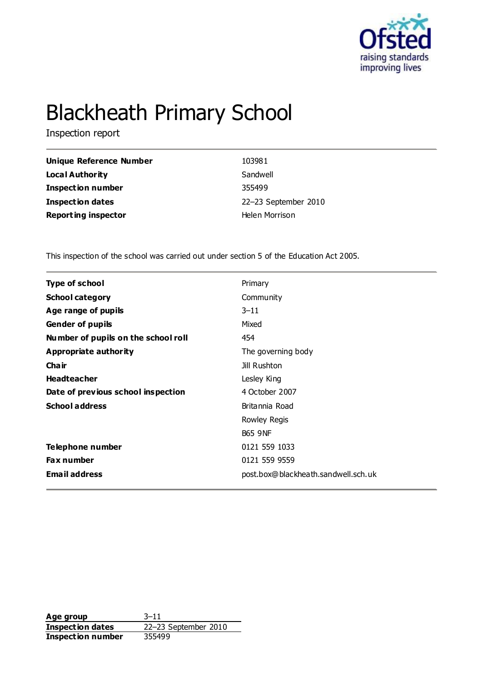

# Blackheath Primary School

Inspection report

| Unique Reference Number    | 103981               |
|----------------------------|----------------------|
| Local Authority            | Sandwell             |
| <b>Inspection number</b>   | 355499               |
| <b>Inspection dates</b>    | 22-23 September 2010 |
| <b>Reporting inspector</b> | Helen Morrison       |

This inspection of the school was carried out under section 5 of the Education Act 2005.

| <b>Type of school</b>               | Primary                             |
|-------------------------------------|-------------------------------------|
| <b>School category</b>              | Community                           |
| Age range of pupils                 | $3 - 11$                            |
| <b>Gender of pupils</b>             | Mixed                               |
| Number of pupils on the school roll | 454                                 |
| Appropriate authority               | The governing body                  |
| Cha ir                              | Jill Rushton                        |
| <b>Headteacher</b>                  | Lesley King                         |
| Date of previous school inspection  | 4 October 2007                      |
| <b>School address</b>               | Britannia Road                      |
|                                     | Rowley Regis                        |
|                                     | <b>B65 9NF</b>                      |
| Telephone number                    | 0121 559 1033                       |
| Fax number                          | 0121 559 9559                       |
| <b>Email address</b>                | post.box@blackheath.sandwell.sch.uk |
|                                     |                                     |

**Age group** 3–11 **Inspection dates** 22–23 September 2010 **Inspection number** 355499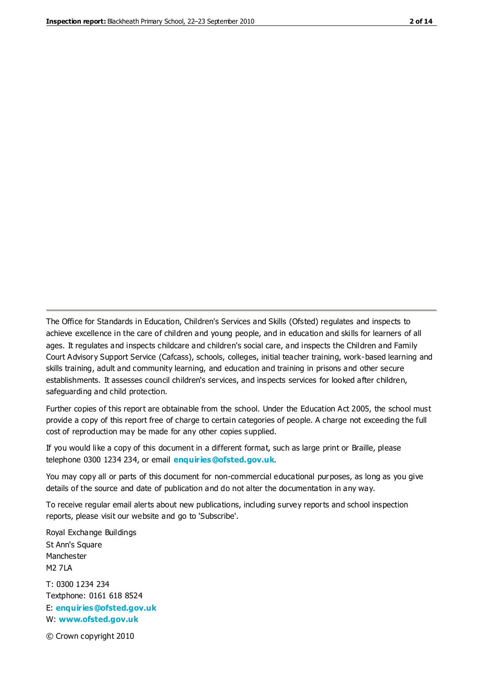The Office for Standards in Education, Children's Services and Skills (Ofsted) regulates and inspects to achieve excellence in the care of children and young people, and in education and skills for learners of all ages. It regulates and inspects childcare and children's social care, and inspects the Children and Family Court Advisory Support Service (Cafcass), schools, colleges, initial teacher training, work-based learning and skills training, adult and community learning, and education and training in prisons and other secure establishments. It assesses council children's services, and inspects services for looked after children, safeguarding and child protection.

Further copies of this report are obtainable from the school. Under the Education Act 2005, the school must provide a copy of this report free of charge to certain categories of people. A charge not exceeding the full cost of reproduction may be made for any other copies supplied.

If you would like a copy of this document in a different format, such as large print or Braille, please telephone 0300 1234 234, or email **[enquiries@ofsted.gov.uk](mailto:enquiries@ofsted.gov.uk)**.

You may copy all or parts of this document for non-commercial educational purposes, as long as you give details of the source and date of publication and do not alter the documentation in any way.

To receive regular email alerts about new publications, including survey reports and school inspection reports, please visit our website and go to 'Subscribe'.

Royal Exchange Buildings St Ann's Square Manchester M2 7LA T: 0300 1234 234 Textphone: 0161 618 8524 E: **[enquiries@ofsted.gov.uk](mailto:enquiries@ofsted.gov.uk)** W: **[www.ofsted.gov.uk](http://www.ofsted.gov.uk/)**

© Crown copyright 2010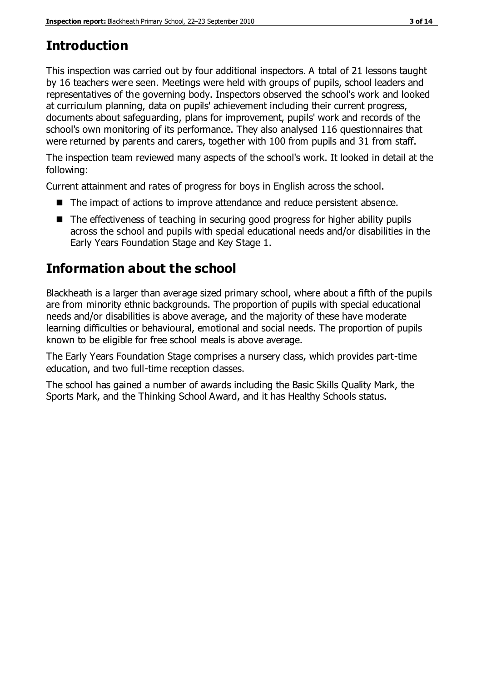# **Introduction**

This inspection was carried out by four additional inspectors. A total of 21 lessons taught by 16 teachers were seen. Meetings were held with groups of pupils, school leaders and representatives of the governing body. Inspectors observed the school's work and looked at curriculum planning, data on pupils' achievement including their current progress, documents about safeguarding, plans for improvement, pupils' work and records of the school's own monitoring of its performance. They also analysed 116 questionnaires that were returned by parents and carers, together with 100 from pupils and 31 from staff.

The inspection team reviewed many aspects of the school's work. It looked in detail at the following:

Current attainment and rates of progress for boys in English across the school.

- The impact of actions to improve attendance and reduce persistent absence.
- The effectiveness of teaching in securing good progress for higher ability pupils across the school and pupils with special educational needs and/or disabilities in the Early Years Foundation Stage and Key Stage 1.

# **Information about the school**

Blackheath is a larger than average sized primary school, where about a fifth of the pupils are from minority ethnic backgrounds. The proportion of pupils with special educational needs and/or disabilities is above average, and the majority of these have moderate learning difficulties or behavioural, emotional and social needs. The proportion of pupils known to be eligible for free school meals is above average.

The Early Years Foundation Stage comprises a nursery class, which provides part-time education, and two full-time reception classes.

The school has gained a number of awards including the Basic Skills Quality Mark, the Sports Mark, and the Thinking School Award, and it has Healthy Schools status.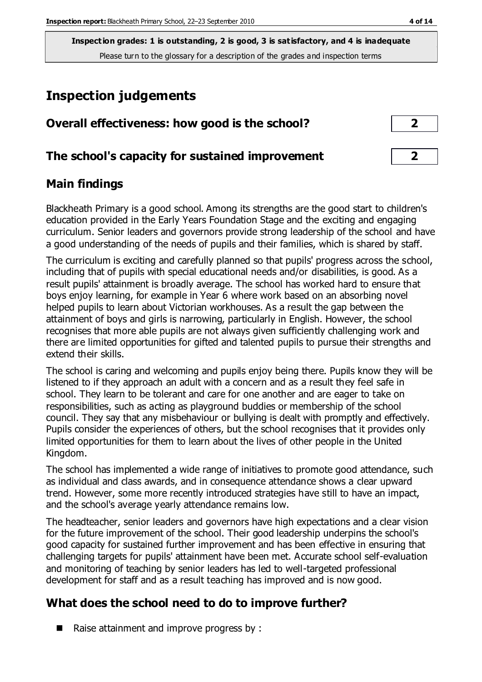**Inspection grades: 1 is outstanding, 2 is good, 3 is satisfactory, and 4 is inadequate** Please turn to the glossary for a description of the grades and inspection terms

# **Inspection judgements**

| Overall effectiveness: how good is the school?  |  |
|-------------------------------------------------|--|
| The school's capacity for sustained improvement |  |

#### **Main findings**

Blackheath Primary is a good school. Among its strengths are the good start to children's education provided in the Early Years Foundation Stage and the exciting and engaging curriculum. Senior leaders and governors provide strong leadership of the school and have a good understanding of the needs of pupils and their families, which is shared by staff.

The curriculum is exciting and carefully planned so that pupils' progress across the school, including that of pupils with special educational needs and/or disabilities, is good. As a result pupils' attainment is broadly average. The school has worked hard to ensure that boys enjoy learning, for example in Year 6 where work based on an absorbing novel helped pupils to learn about Victorian workhouses. As a result the gap between the attainment of boys and girls is narrowing, particularly in English. However, the school recognises that more able pupils are not always given sufficiently challenging work and there are limited opportunities for gifted and talented pupils to pursue their strengths and extend their skills.

The school is caring and welcoming and pupils enjoy being there. Pupils know they will be listened to if they approach an adult with a concern and as a result they feel safe in school. They learn to be tolerant and care for one another and are eager to take on responsibilities, such as acting as playground buddies or membership of the school council. They say that any misbehaviour or bullying is dealt with promptly and effectively. Pupils consider the experiences of others, but the school recognises that it provides only limited opportunities for them to learn about the lives of other people in the United Kingdom.

The school has implemented a wide range of initiatives to promote good attendance, such as individual and class awards, and in consequence attendance shows a clear upward trend. However, some more recently introduced strategies have still to have an impact, and the school's average yearly attendance remains low.

The headteacher, senior leaders and governors have high expectations and a clear vision for the future improvement of the school. Their good leadership underpins the school's good capacity for sustained further improvement and has been effective in ensuring that challenging targets for pupils' attainment have been met. Accurate school self-evaluation and monitoring of teaching by senior leaders has led to well-targeted professional development for staff and as a result teaching has improved and is now good.

### **What does the school need to do to improve further?**

 $\blacksquare$  Raise attainment and improve progress by :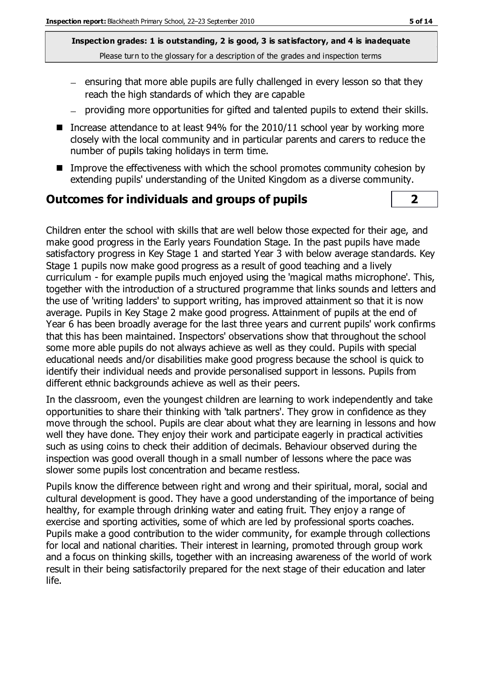**Inspection grades: 1 is outstanding, 2 is good, 3 is satisfactory, and 4 is inadequate** Please turn to the glossary for a description of the grades and inspection terms

- $-$  ensuring that more able pupils are fully challenged in every lesson so that they reach the high standards of which they are capable
- providing more opportunities for gifted and talented pupils to extend their skills.
- Increase attendance to at least  $94\%$  for the  $2010/11$  school year by working more closely with the local community and in particular parents and carers to reduce the number of pupils taking holidays in term time.
- **I** Improve the effectiveness with which the school promotes community cohesion by extending pupils' understanding of the United Kingdom as a diverse community.

#### **Outcomes for individuals and groups of pupils 2**

Children enter the school with skills that are well below those expected for their age, and make good progress in the Early years Foundation Stage. In the past pupils have made satisfactory progress in Key Stage 1 and started Year 3 with below average standards. Key Stage 1 pupils now make good progress as a result of good teaching and a lively curriculum - for example pupils much enjoyed using the 'magical maths microphone'. This, together with the introduction of a structured programme that links sounds and letters and the use of 'writing ladders' to support writing, has improved attainment so that it is now average. Pupils in Key Stage 2 make good progress. Attainment of pupils at the end of Year 6 has been broadly average for the last three years and current pupils' work confirms that this has been maintained. Inspectors' observations show that throughout the school some more able pupils do not always achieve as well as they could. Pupils with special educational needs and/or disabilities make good progress because the school is quick to identify their individual needs and provide personalised support in lessons. Pupils from different ethnic backgrounds achieve as well as their peers.

In the classroom, even the youngest children are learning to work independently and take opportunities to share their thinking with 'talk partners'. They grow in confidence as they move through the school. Pupils are clear about what they are learning in lessons and how well they have done. They enjoy their work and participate eagerly in practical activities such as using coins to check their addition of decimals. Behaviour observed during the inspection was good overall though in a small number of lessons where the pace was slower some pupils lost concentration and became restless.

Pupils know the difference between right and wrong and their spiritual, moral, social and cultural development is good. They have a good understanding of the importance of being healthy, for example through drinking water and eating fruit. They enjoy a range of exercise and sporting activities, some of which are led by professional sports coaches. Pupils make a good contribution to the wider community, for example through collections for local and national charities. Their interest in learning, promoted through group work and a focus on thinking skills, together with an increasing awareness of the world of work result in their being satisfactorily prepared for the next stage of their education and later life.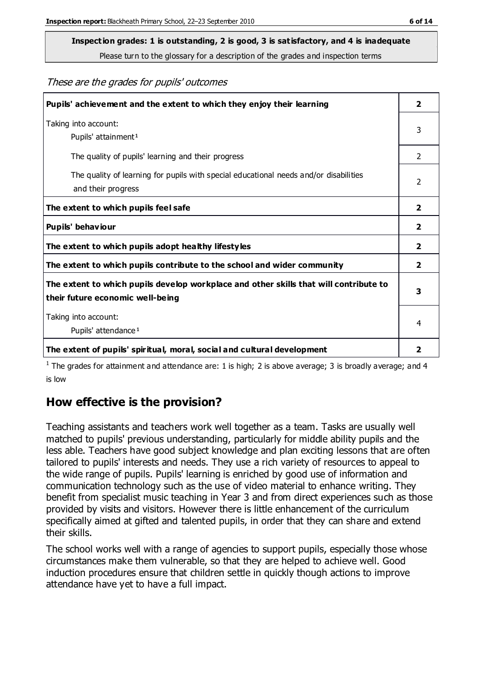Please turn to the glossary for a description of the grades and inspection terms

#### These are the grades for pupils' outcomes

| Pupils' achievement and the extent to which they enjoy their learning                                                     | 2                       |
|---------------------------------------------------------------------------------------------------------------------------|-------------------------|
| Taking into account:<br>Pupils' attainment <sup>1</sup>                                                                   | 3                       |
| The quality of pupils' learning and their progress                                                                        | $\mathcal{P}$           |
| The quality of learning for pupils with special educational needs and/or disabilities<br>and their progress               | 2                       |
| The extent to which pupils feel safe                                                                                      | $\mathbf{2}$            |
| Pupils' behaviour                                                                                                         | 2                       |
| The extent to which pupils adopt healthy lifestyles                                                                       | 2                       |
| The extent to which pupils contribute to the school and wider community                                                   | $\overline{2}$          |
| The extent to which pupils develop workplace and other skills that will contribute to<br>their future economic well-being | 3                       |
| Taking into account:<br>Pupils' attendance <sup>1</sup>                                                                   | 4                       |
| The extent of pupils' spiritual, moral, social and cultural development                                                   | $\overline{\mathbf{2}}$ |

<sup>1</sup> The grades for attainment and attendance are: 1 is high; 2 is above average; 3 is broadly average; and 4 is low

#### **How effective is the provision?**

Teaching assistants and teachers work well together as a team. Tasks are usually well matched to pupils' previous understanding, particularly for middle ability pupils and the less able. Teachers have good subject knowledge and plan exciting lessons that are often tailored to pupils' interests and needs. They use a rich variety of resources to appeal to the wide range of pupils. Pupils' learning is enriched by good use of information and communication technology such as the use of video material to enhance writing. They benefit from specialist music teaching in Year 3 and from direct experiences such as those provided by visits and visitors. However there is little enhancement of the curriculum specifically aimed at gifted and talented pupils, in order that they can share and extend their skills.

The school works well with a range of agencies to support pupils, especially those whose circumstances make them vulnerable, so that they are helped to achieve well. Good induction procedures ensure that children settle in quickly though actions to improve attendance have yet to have a full impact.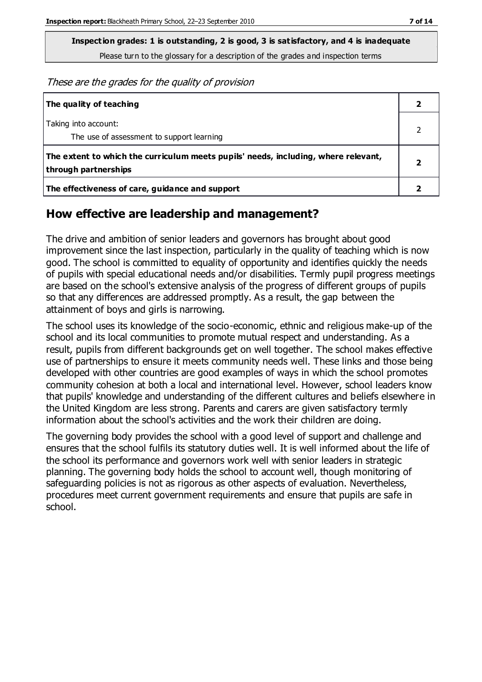Please turn to the glossary for a description of the grades and inspection terms

These are the grades for the quality of provision

| The quality of teaching                                                                                    |  |
|------------------------------------------------------------------------------------------------------------|--|
| Taking into account:<br>The use of assessment to support learning                                          |  |
| The extent to which the curriculum meets pupils' needs, including, where relevant,<br>through partnerships |  |
| The effectiveness of care, guidance and support                                                            |  |

#### **How effective are leadership and management?**

The drive and ambition of senior leaders and governors has brought about good improvement since the last inspection, particularly in the quality of teaching which is now good. The school is committed to equality of opportunity and identifies quickly the needs of pupils with special educational needs and/or disabilities. Termly pupil progress meetings are based on the school's extensive analysis of the progress of different groups of pupils so that any differences are addressed promptly. As a result, the gap between the attainment of boys and girls is narrowing.

The school uses its knowledge of the socio-economic, ethnic and religious make-up of the school and its local communities to promote mutual respect and understanding. As a result, pupils from different backgrounds get on well together. The school makes effective use of partnerships to ensure it meets community needs well. These links and those being developed with other countries are good examples of ways in which the school promotes community cohesion at both a local and international level. However, school leaders know that pupils' knowledge and understanding of the different cultures and beliefs elsewhere in the United Kingdom are less strong. Parents and carers are given satisfactory termly information about the school's activities and the work their children are doing.

The governing body provides the school with a good level of support and challenge and ensures that the school fulfils its statutory duties well. It is well informed about the life of the school its performance and governors work well with senior leaders in strategic planning. The governing body holds the school to account well, though monitoring of safeguarding policies is not as rigorous as other aspects of evaluation. Nevertheless, procedures meet current government requirements and ensure that pupils are safe in school.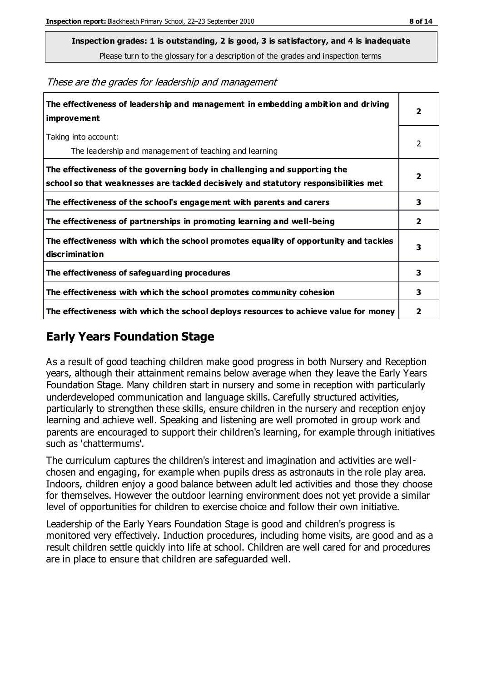Please turn to the glossary for a description of the grades and inspection terms

These are the grades for leadership and management

| The effectiveness of leadership and management in embedding ambition and driving<br>improvement                                                                  |                |
|------------------------------------------------------------------------------------------------------------------------------------------------------------------|----------------|
| Taking into account:<br>The leadership and management of teaching and learning                                                                                   | 2              |
| The effectiveness of the governing body in challenging and supporting the<br>school so that weaknesses are tackled decisively and statutory responsibilities met | $\overline{2}$ |
| The effectiveness of the school's engagement with parents and carers                                                                                             | 3              |
| The effectiveness of partnerships in promoting learning and well-being                                                                                           | $\overline{2}$ |
| The effectiveness with which the school promotes equality of opportunity and tackles<br>discrimination                                                           | 3              |
| The effectiveness of safeguarding procedures                                                                                                                     | 3              |
| The effectiveness with which the school promotes community cohesion                                                                                              | 3              |
| The effectiveness with which the school deploys resources to achieve value for money                                                                             | 2              |

#### **Early Years Foundation Stage**

As a result of good teaching children make good progress in both Nursery and Reception years, although their attainment remains below average when they leave the Early Years Foundation Stage. Many children start in nursery and some in reception with particularly underdeveloped communication and language skills. Carefully structured activities, particularly to strengthen these skills, ensure children in the nursery and reception enjoy learning and achieve well. Speaking and listening are well promoted in group work and parents are encouraged to support their children's learning, for example through initiatives such as 'chattermums'.

The curriculum captures the children's interest and imagination and activities are wellchosen and engaging, for example when pupils dress as astronauts in the role play area. Indoors, children enjoy a good balance between adult led activities and those they choose for themselves. However the outdoor learning environment does not yet provide a similar level of opportunities for children to exercise choice and follow their own initiative.

Leadership of the Early Years Foundation Stage is good and children's progress is monitored very effectively. Induction procedures, including home visits, are good and as a result children settle quickly into life at school. Children are well cared for and procedures are in place to ensure that children are safeguarded well.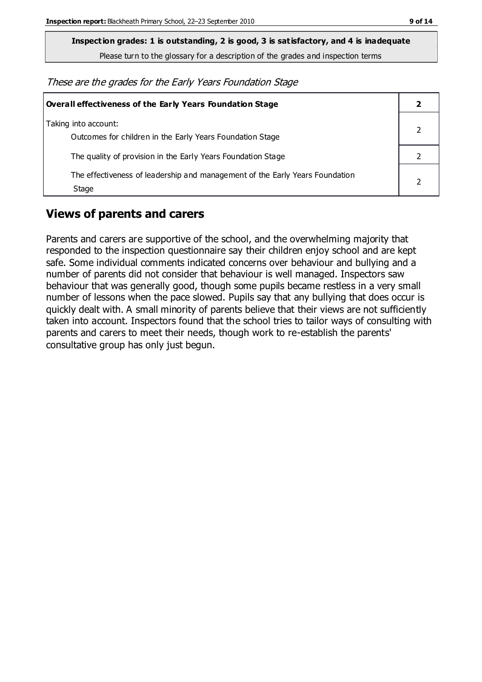Please turn to the glossary for a description of the grades and inspection terms

These are the grades for the Early Years Foundation Stage

| <b>Overall effectiveness of the Early Years Foundation Stage</b>                      |  |
|---------------------------------------------------------------------------------------|--|
| Taking into account:<br>Outcomes for children in the Early Years Foundation Stage     |  |
| The quality of provision in the Early Years Foundation Stage                          |  |
| The effectiveness of leadership and management of the Early Years Foundation<br>Stage |  |

#### **Views of parents and carers**

Parents and carers are supportive of the school, and the overwhelming majority that responded to the inspection questionnaire say their children enjoy school and are kept safe. Some individual comments indicated concerns over behaviour and bullying and a number of parents did not consider that behaviour is well managed. Inspectors saw behaviour that was generally good, though some pupils became restless in a very small number of lessons when the pace slowed. Pupils say that any bullying that does occur is quickly dealt with. A small minority of parents believe that their views are not sufficiently taken into account. Inspectors found that the school tries to tailor ways of consulting with parents and carers to meet their needs, though work to re-establish the parents' consultative group has only just begun.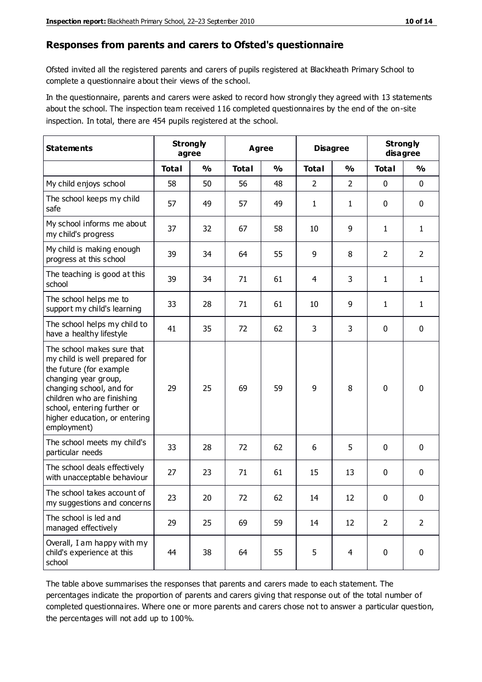#### **Responses from parents and carers to Ofsted's questionnaire**

Ofsted invited all the registered parents and carers of pupils registered at Blackheath Primary School to complete a questionnaire about their views of the school.

In the questionnaire, parents and carers were asked to record how strongly they agreed with 13 statements about the school. The inspection team received 116 completed questionnaires by the end of the on-site inspection. In total, there are 454 pupils registered at the school.

| <b>Statements</b>                                                                                                                                                                                                                                       |              | <b>Strongly</b><br>Agree<br>agree |              | <b>Disagree</b> |              | <b>Strongly</b><br>disagree |                |                |
|---------------------------------------------------------------------------------------------------------------------------------------------------------------------------------------------------------------------------------------------------------|--------------|-----------------------------------|--------------|-----------------|--------------|-----------------------------|----------------|----------------|
|                                                                                                                                                                                                                                                         | <b>Total</b> | $\frac{1}{2}$                     | <b>Total</b> | $\frac{0}{0}$   | <b>Total</b> | $\frac{0}{0}$               | <b>Total</b>   | $\frac{1}{2}$  |
| My child enjoys school                                                                                                                                                                                                                                  | 58           | 50                                | 56           | 48              | 2            | $\overline{2}$              | $\mathbf 0$    | $\mathbf 0$    |
| The school keeps my child<br>safe                                                                                                                                                                                                                       | 57           | 49                                | 57           | 49              | 1            | $\mathbf{1}$                | $\mathbf 0$    | $\mathbf 0$    |
| My school informs me about<br>my child's progress                                                                                                                                                                                                       | 37           | 32                                | 67           | 58              | 10           | 9                           | $\mathbf{1}$   | $\mathbf{1}$   |
| My child is making enough<br>progress at this school                                                                                                                                                                                                    | 39           | 34                                | 64           | 55              | 9            | 8                           | $\overline{2}$ | $\overline{2}$ |
| The teaching is good at this<br>school                                                                                                                                                                                                                  | 39           | 34                                | 71           | 61              | 4            | 3                           | 1              | $\mathbf{1}$   |
| The school helps me to<br>support my child's learning                                                                                                                                                                                                   | 33           | 28                                | 71           | 61              | 10           | 9                           | 1              | $\mathbf{1}$   |
| The school helps my child to<br>have a healthy lifestyle                                                                                                                                                                                                | 41           | 35                                | 72           | 62              | 3            | 3                           | $\mathbf 0$    | $\mathbf 0$    |
| The school makes sure that<br>my child is well prepared for<br>the future (for example<br>changing year group,<br>changing school, and for<br>children who are finishing<br>school, entering further or<br>higher education, or entering<br>employment) | 29           | 25                                | 69           | 59              | 9            | 8                           | $\mathbf 0$    | $\mathbf 0$    |
| The school meets my child's<br>particular needs                                                                                                                                                                                                         | 33           | 28                                | 72           | 62              | 6            | 5                           | $\mathbf 0$    | $\mathbf 0$    |
| The school deals effectively<br>with unacceptable behaviour                                                                                                                                                                                             | 27           | 23                                | 71           | 61              | 15           | 13                          | 0              | 0              |
| The school takes account of<br>my suggestions and concerns                                                                                                                                                                                              | 23           | 20                                | 72           | 62              | 14           | 12                          | $\mathbf{0}$   | $\mathbf{0}$   |
| The school is led and<br>managed effectively                                                                                                                                                                                                            | 29           | 25                                | 69           | 59              | 14           | 12                          | $\overline{2}$ | $\overline{2}$ |
| Overall, I am happy with my<br>child's experience at this<br>school                                                                                                                                                                                     | 44           | 38                                | 64           | 55              | 5            | $\overline{4}$              | $\mathbf 0$    | $\mathbf 0$    |

The table above summarises the responses that parents and carers made to each statement. The percentages indicate the proportion of parents and carers giving that response out of the total number of completed questionnaires. Where one or more parents and carers chose not to answer a particular question, the percentages will not add up to 100%.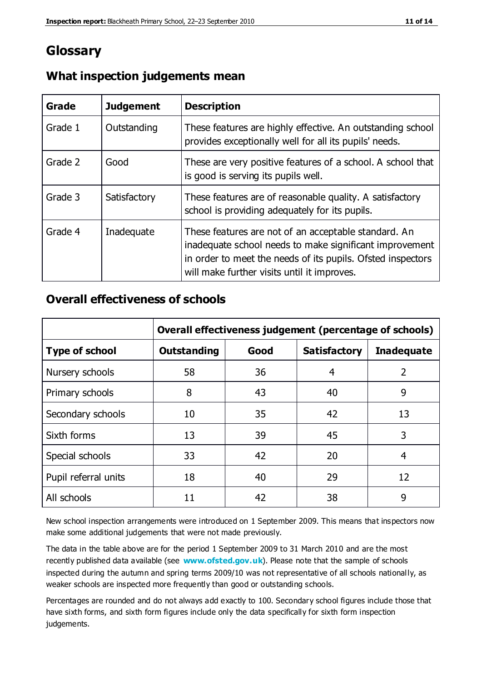## **Glossary**

| Grade   | <b>Judgement</b> | <b>Description</b>                                                                                                                                                                                                            |
|---------|------------------|-------------------------------------------------------------------------------------------------------------------------------------------------------------------------------------------------------------------------------|
| Grade 1 | Outstanding      | These features are highly effective. An outstanding school<br>provides exceptionally well for all its pupils' needs.                                                                                                          |
| Grade 2 | Good             | These are very positive features of a school. A school that<br>is good is serving its pupils well.                                                                                                                            |
| Grade 3 | Satisfactory     | These features are of reasonable quality. A satisfactory<br>school is providing adequately for its pupils.                                                                                                                    |
| Grade 4 | Inadequate       | These features are not of an acceptable standard. An<br>inadequate school needs to make significant improvement<br>in order to meet the needs of its pupils. Ofsted inspectors<br>will make further visits until it improves. |

#### **What inspection judgements mean**

#### **Overall effectiveness of schools**

|                       | Overall effectiveness judgement (percentage of schools) |      |                     |                   |
|-----------------------|---------------------------------------------------------|------|---------------------|-------------------|
| <b>Type of school</b> | <b>Outstanding</b>                                      | Good | <b>Satisfactory</b> | <b>Inadequate</b> |
| Nursery schools       | 58                                                      | 36   | 4                   | 2                 |
| Primary schools       | 8                                                       | 43   | 40                  | 9                 |
| Secondary schools     | 10                                                      | 35   | 42                  | 13                |
| Sixth forms           | 13                                                      | 39   | 45                  | 3                 |
| Special schools       | 33                                                      | 42   | 20                  | 4                 |
| Pupil referral units  | 18                                                      | 40   | 29                  | 12                |
| All schools           | 11                                                      | 42   | 38                  | 9                 |

New school inspection arrangements were introduced on 1 September 2009. This means that inspectors now make some additional judgements that were not made previously.

The data in the table above are for the period 1 September 2009 to 31 March 2010 and are the most recently published data available (see **[www.ofsted.gov.uk](http://www.ofsted.gov.uk/)**). Please note that the sample of schools inspected during the autumn and spring terms 2009/10 was not representative of all schools nationally, as weaker schools are inspected more frequently than good or outstanding schools.

Percentages are rounded and do not always add exactly to 100. Secondary school figures include those that have sixth forms, and sixth form figures include only the data specifically for sixth form inspection judgements.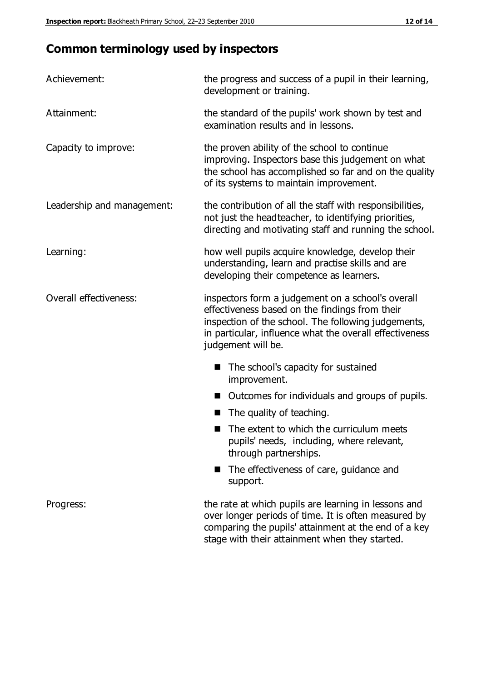# **Common terminology used by inspectors**

| Achievement:               | the progress and success of a pupil in their learning,<br>development or training.                                                                                                                                                          |  |  |
|----------------------------|---------------------------------------------------------------------------------------------------------------------------------------------------------------------------------------------------------------------------------------------|--|--|
| Attainment:                | the standard of the pupils' work shown by test and<br>examination results and in lessons.                                                                                                                                                   |  |  |
| Capacity to improve:       | the proven ability of the school to continue<br>improving. Inspectors base this judgement on what<br>the school has accomplished so far and on the quality<br>of its systems to maintain improvement.                                       |  |  |
| Leadership and management: | the contribution of all the staff with responsibilities,<br>not just the headteacher, to identifying priorities,<br>directing and motivating staff and running the school.                                                                  |  |  |
| Learning:                  | how well pupils acquire knowledge, develop their<br>understanding, learn and practise skills and are<br>developing their competence as learners.                                                                                            |  |  |
| Overall effectiveness:     | inspectors form a judgement on a school's overall<br>effectiveness based on the findings from their<br>inspection of the school. The following judgements,<br>in particular, influence what the overall effectiveness<br>judgement will be. |  |  |
|                            | The school's capacity for sustained<br>improvement.                                                                                                                                                                                         |  |  |
|                            | Outcomes for individuals and groups of pupils.                                                                                                                                                                                              |  |  |
|                            | The quality of teaching.                                                                                                                                                                                                                    |  |  |
|                            | The extent to which the curriculum meets<br>pupils' needs, including, where relevant,<br>through partnerships.                                                                                                                              |  |  |
|                            | The effectiveness of care, guidance and<br>support.                                                                                                                                                                                         |  |  |
| Progress:                  | the rate at which pupils are learning in lessons and<br>over longer periods of time. It is often measured by<br>comparing the pupils' attainment at the end of a key                                                                        |  |  |

stage with their attainment when they started.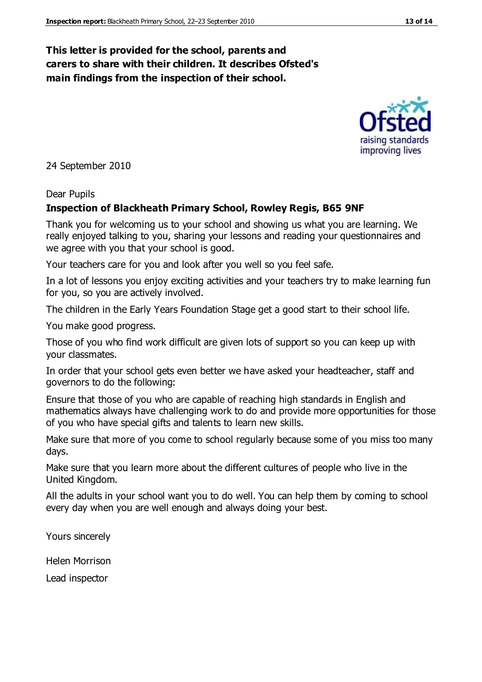#### **This letter is provided for the school, parents and carers to share with their children. It describes Ofsted's main findings from the inspection of their school.**

24 September 2010

#### Dear Pupils

#### **Inspection of Blackheath Primary School, Rowley Regis, B65 9NF**

Thank you for welcoming us to your school and showing us what you are learning. We really enjoyed talking to you, sharing your lessons and reading your questionnaires and we agree with you that your school is good.

Your teachers care for you and look after you well so you feel safe.

In a lot of lessons you enjoy exciting activities and your teachers try to make learning fun for you, so you are actively involved.

The children in the Early Years Foundation Stage get a good start to their school life.

You make good progress.

Those of you who find work difficult are given lots of support so you can keep up with your classmates.

In order that your school gets even better we have asked your headteacher, staff and governors to do the following:

Ensure that those of you who are capable of reaching high standards in English and mathematics always have challenging work to do and provide more opportunities for those of you who have special gifts and talents to learn new skills.

Make sure that more of you come to school regularly because some of you miss too many days.

Make sure that you learn more about the different cultures of people who live in the United Kingdom.

All the adults in your school want you to do well. You can help them by coming to school every day when you are well enough and always doing your best.

Yours sincerely

Helen Morrison

Lead inspector